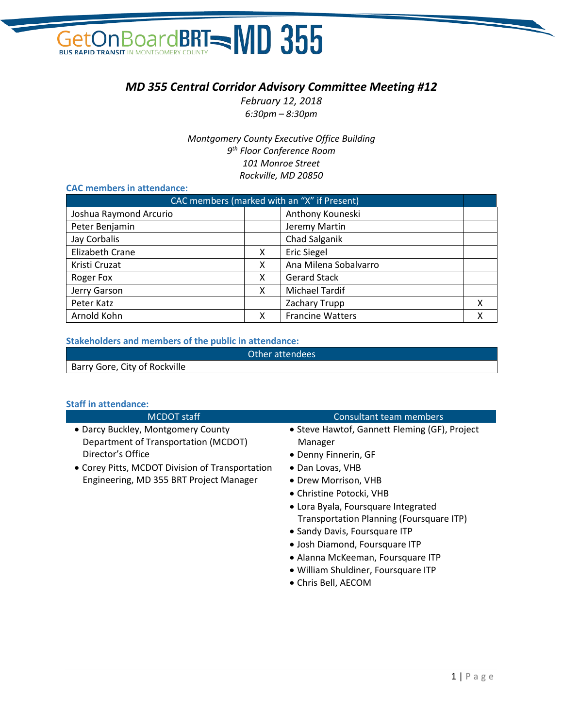## **On BoardBRT=MD 355 GetOn Boar**

### *MD 355 Central Corridor Advisory Committee Meeting #12*

*February 12, 2018 6:30pm – 8:30pm*

*Montgomery County Executive Office Building 9th Floor Conference Room 101 Monroe Street Rockville, MD 20850*

#### **CAC members in attendance:**

| CAC members (marked with an "X" if Present) |   |                         |   |
|---------------------------------------------|---|-------------------------|---|
| Joshua Raymond Arcurio                      |   | Anthony Kouneski        |   |
| Peter Benjamin                              |   | Jeremy Martin           |   |
| Jay Corbalis                                |   | Chad Salganik           |   |
| <b>Elizabeth Crane</b>                      | X | <b>Eric Siegel</b>      |   |
| Kristi Cruzat                               | x | Ana Milena Sobalvarro   |   |
| Roger Fox                                   | x | <b>Gerard Stack</b>     |   |
| Jerry Garson                                | x | <b>Michael Tardif</b>   |   |
| Peter Katz                                  |   | Zachary Trupp           | X |
| Arnold Kohn                                 | x | <b>Francine Watters</b> | x |

#### **Stakeholders and members of the public in attendance:**

|                               | Other attendees |
|-------------------------------|-----------------|
| Barry Gore, City of Rockville |                 |

#### **Staff in attendance:**

| <b>MCDOT</b> staff                                                                              | Consultant team members                                                                                                                                                                  |
|-------------------------------------------------------------------------------------------------|------------------------------------------------------------------------------------------------------------------------------------------------------------------------------------------|
| • Darcy Buckley, Montgomery County<br>Department of Transportation (MCDOT)<br>Director's Office | • Steve Hawtof, Gannett Fleming (GF), Project<br>Manager<br>• Denny Finnerin, GF                                                                                                         |
| • Corey Pitts, MCDOT Division of Transportation<br>Engineering, MD 355 BRT Project Manager      | • Dan Lovas, VHB<br>• Drew Morrison, VHB<br>• Christine Potocki, VHB<br>• Lora Byala, Foursquare Integrated<br>Transportation Planning (Foursquare ITP)<br>• Sandy Davis, Foursquare ITP |
|                                                                                                 | · Josh Diamond, Foursquare ITP<br>• Alanna McKeeman, Foursquare ITP                                                                                                                      |

• William Shuldiner, Foursquare ITP • Chris Bell, AECOM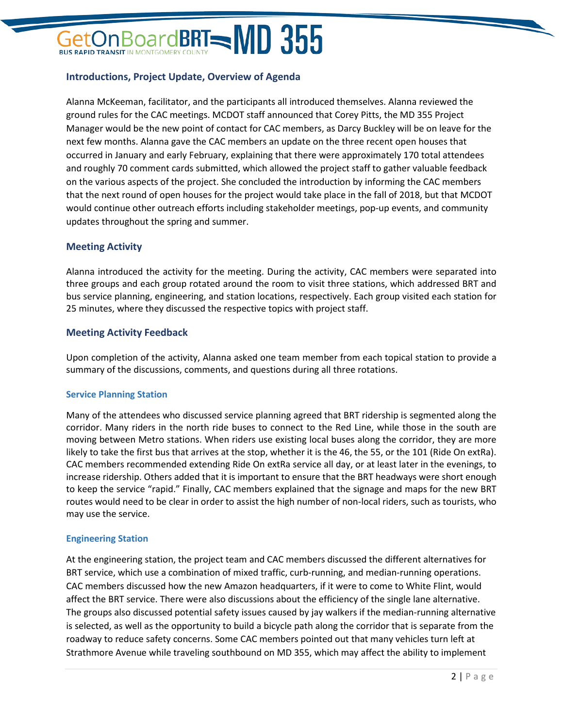# BoardBRT $=$ MD 355

#### **Introductions, Project Update, Overview of Agenda**

Alanna McKeeman, facilitator, and the participants all introduced themselves. Alanna reviewed the ground rules for the CAC meetings. MCDOT staff announced that Corey Pitts, the MD 355 Project Manager would be the new point of contact for CAC members, as Darcy Buckley will be on leave for the next few months. Alanna gave the CAC members an update on the three recent open houses that occurred in January and early February, explaining that there were approximately 170 total attendees and roughly 70 comment cards submitted, which allowed the project staff to gather valuable feedback on the various aspects of the project. She concluded the introduction by informing the CAC members that the next round of open houses for the project would take place in the fall of 2018, but that MCDOT would continue other outreach efforts including stakeholder meetings, pop-up events, and community updates throughout the spring and summer.

#### **Meeting Activity**

Alanna introduced the activity for the meeting. During the activity, CAC members were separated into three groups and each group rotated around the room to visit three stations, which addressed BRT and bus service planning, engineering, and station locations, respectively. Each group visited each station for 25 minutes, where they discussed the respective topics with project staff.

#### **Meeting Activity Feedback**

Upon completion of the activity, Alanna asked one team member from each topical station to provide a summary of the discussions, comments, and questions during all three rotations.

#### **Service Planning Station**

Many of the attendees who discussed service planning agreed that BRT ridership is segmented along the corridor. Many riders in the north ride buses to connect to the Red Line, while those in the south are moving between Metro stations. When riders use existing local buses along the corridor, they are more likely to take the first bus that arrives at the stop, whether it is the 46, the 55, or the 101 (Ride On extRa). CAC members recommended extending Ride On extRa service all day, or at least later in the evenings, to increase ridership. Others added that it is important to ensure that the BRT headways were short enough to keep the service "rapid." Finally, CAC members explained that the signage and maps for the new BRT routes would need to be clear in order to assist the high number of non-local riders, such as tourists, who may use the service.

#### **Engineering Station**

At the engineering station, the project team and CAC members discussed the different alternatives for BRT service, which use a combination of mixed traffic, curb-running, and median-running operations. CAC members discussed how the new Amazon headquarters, if it were to come to White Flint, would affect the BRT service. There were also discussions about the efficiency of the single lane alternative. The groups also discussed potential safety issues caused by jay walkers if the median-running alternative is selected, as well as the opportunity to build a bicycle path along the corridor that is separate from the roadway to reduce safety concerns. Some CAC members pointed out that many vehicles turn left at Strathmore Avenue while traveling southbound on MD 355, which may affect the ability to implement